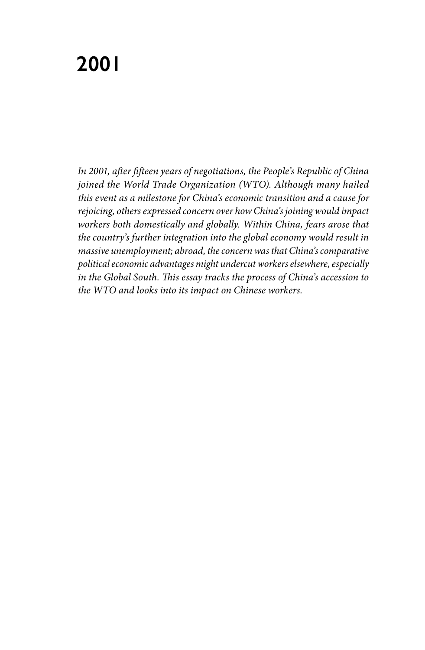# **2001**

*In 2001, after fifteen years of negotiations, the People's Republic of China joined the World Trade Organization (WTO). Although many hailed this event as a milestone for China's economic transition and a cause for rejoicing, others expressed concern over how China's joining would impact workers both domestically and globally. Within China, fears arose that the country's further integration into the global economy would result in massive unemployment; abroad, the concern was that China's comparative political economic advantages might undercut workers elsewhere, especially in the Global South. This essay tracks the process of China's accession to the WTO and looks into its impact on Chinese workers.*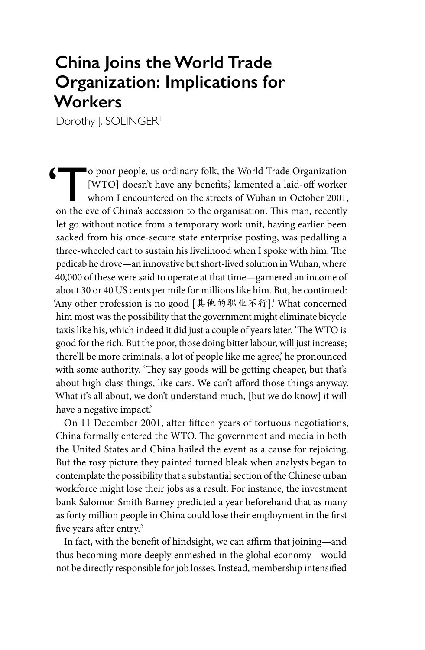## **China Joins the World Trade Organization: Implications for Workers**

Dorothy I. SOLINGER<sup>1</sup>

(The poor people, us ordinary folk, the World Trade Organization [WTO] doesn't have any benefits,' lamented a laid-off worker whom I encountered on the streets of Wuhan in October 2001, [WTO] doesn't have any benefits,' lamented a laid-off worker whom I encountered on the streets of Wuhan in October 2001, on the eve of China's accession to the organisation. This man, recently let go without notice from a temporary work unit, having earlier been sacked from his once-secure state enterprise posting, was pedalling a three-wheeled cart to sustain his livelihood when I spoke with him. The pedicab he drove—an innovative but short-lived solution in Wuhan, where 40,000 of these were said to operate at that time—garnered an income of about 30 or 40 US cents per mile for millions like him. But, he continued: 'Any other profession is no good [其他的职业不行].' What concerned him most was the possibility that the government might eliminate bicycle taxis like his, which indeed it did just a couple of years later. 'The WTO is good for the rich. But the poor, those doing bitter labour, will just increase; there'll be more criminals, a lot of people like me agree,' he pronounced with some authority. 'They say goods will be getting cheaper, but that's about high-class things, like cars. We can't afford those things anyway. What it's all about, we don't understand much, [but we do know] it will have a negative impact.'

On 11 December 2001, after fifteen years of tortuous negotiations, China formally entered the WTO. The government and media in both the United States and China hailed the event as a cause for rejoicing. But the rosy picture they painted turned bleak when analysts began to contemplate the possibility that a substantial section of the Chinese urban workforce might lose their jobs as a result. For instance, the investment bank Salomon Smith Barney predicted a year beforehand that as many as forty million people in China could lose their employment in the first five years after entry.<sup>2</sup>

In fact, with the benefit of hindsight, we can affirm that joining—and thus becoming more deeply enmeshed in the global economy—would not be directly responsible for job losses. Instead, membership intensified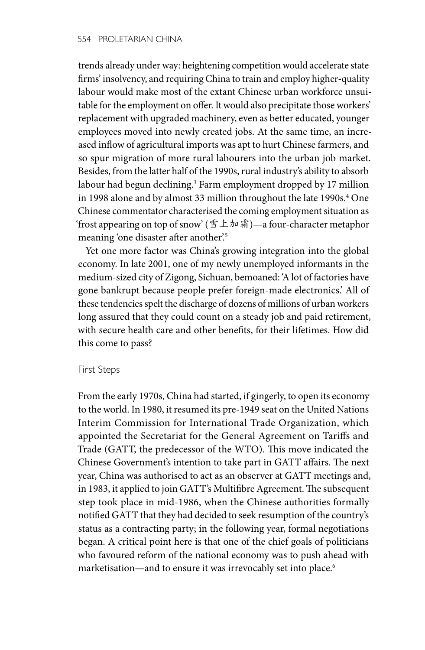trends already under way: heightening competition would accelerate state firms' insolvency, and requiring China to train and employ higher-quality labour would make most of the extant Chinese urban workforce unsuitable for the employment on offer. It would also precipitate those workers' replacement with upgraded machinery, even as better educated, younger employees moved into newly created jobs. At the same time, an increased inflow of agricultural imports was apt to hurt Chinese farmers, and so spur migration of more rural labourers into the urban job market. Besides, from the latter half of the 1990s, rural industry's ability to absorb labour had begun declining.3 Farm employment dropped by 17 million in 1998 alone and by almost 33 million throughout the late 1990s.<sup>4</sup> One Chinese commentator characterised the coming employment situation as 'frost appearing on top of snow' (雪上加霜)—a four-character metaphor meaning 'one disaster after another'.<sup>5</sup>

Yet one more factor was China's growing integration into the global economy. In late 2001, one of my newly unemployed informants in the medium-sized city of Zigong, Sichuan, bemoaned: 'A lot of factories have gone bankrupt because people prefer foreign-made electronics.' All of these tendencies spelt the discharge of dozens of millions of urban workers long assured that they could count on a steady job and paid retirement, with secure health care and other benefits, for their lifetimes. How did this come to pass?

#### First Steps

From the early 1970s, China had started, if gingerly, to open its economy to the world. In 1980, it resumed its pre-1949 seat on the United Nations Interim Commission for International Trade Organization, which appointed the Secretariat for the General Agreement on Tariffs and Trade (GATT, the predecessor of the WTO). This move indicated the Chinese Government's intention to take part in GATT affairs. The next year, China was authorised to act as an observer at GATT meetings and, in 1983, it applied to join GATT's Multifibre Agreement. The subsequent step took place in mid-1986, when the Chinese authorities formally notified GATT that they had decided to seek resumption of the country's status as a contracting party; in the following year, formal negotiations began. A critical point here is that one of the chief goals of politicians who favoured reform of the national economy was to push ahead with marketisation—and to ensure it was irrevocably set into place.<sup>6</sup>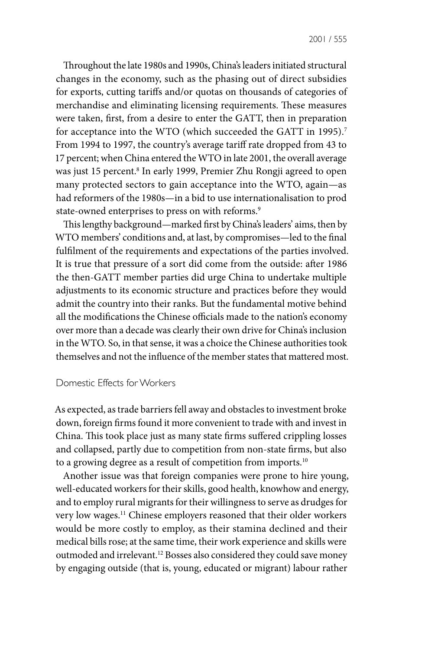Throughout the late 1980s and 1990s, China's leaders initiated structural changes in the economy, such as the phasing out of direct subsidies for exports, cutting tariffs and/or quotas on thousands of categories of merchandise and eliminating licensing requirements. These measures were taken, first, from a desire to enter the GATT, then in preparation for acceptance into the WTO (which succeeded the GATT in 1995).<sup>7</sup> From 1994 to 1997, the country's average tariff rate dropped from 43 to 17 percent; when China entered the WTO in late 2001, the overall average was just 15 percent.8 In early 1999, Premier Zhu Rongji agreed to open many protected sectors to gain acceptance into the WTO, again—as had reformers of the 1980s—in a bid to use internationalisation to prod state-owned enterprises to press on with reforms.<sup>9</sup>

This lengthy background—marked first by China's leaders' aims, then by WTO members' conditions and, at last, by compromises—led to the final fulfilment of the requirements and expectations of the parties involved. It is true that pressure of a sort did come from the outside: after 1986 the then-GATT member parties did urge China to undertake multiple adjustments to its economic structure and practices before they would admit the country into their ranks. But the fundamental motive behind all the modifications the Chinese officials made to the nation's economy over more than a decade was clearly their own drive for China's inclusion in the WTO. So, in that sense, it was a choice the Chinese authorities took themselves and not the influence of the member states that mattered most.

### Domestic Effects for Workers

As expected, as trade barriers fell away and obstacles to investment broke down, foreign firms found it more convenient to trade with and invest in China. This took place just as many state firms suffered crippling losses and collapsed, partly due to competition from non-state firms, but also to a growing degree as a result of competition from imports.<sup>10</sup>

Another issue was that foreign companies were prone to hire young, well-educated workers for their skills, good health, knowhow and energy, and to employ rural migrants for their willingness to serve as drudges for very low wages.11 Chinese employers reasoned that their older workers would be more costly to employ, as their stamina declined and their medical bills rose; at the same time, their work experience and skills were outmoded and irrelevant.12 Bosses also considered they could save money by engaging outside (that is, young, educated or migrant) labour rather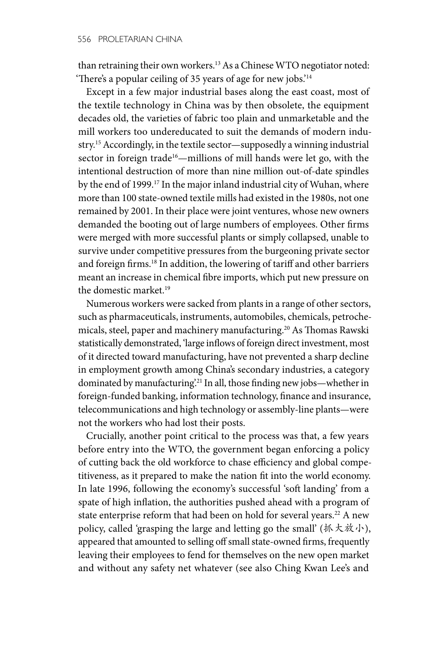than retraining their own workers.13 As a Chinese WTO negotiator noted: 'There's a popular ceiling of 35 years of age for new jobs.'<sup>14</sup>

Except in a few major industrial bases along the east coast, most of the textile technology in China was by then obsolete, the equipment decades old, the varieties of fabric too plain and unmarketable and the mill workers too undereducated to suit the demands of modern industry.15 Accordingly, in the textile sector—supposedly a winning industrial sector in foreign trade<sup>16</sup>—millions of mill hands were let go, with the intentional destruction of more than nine million out-of-date spindles by the end of 1999.17 In the major inland industrial city of Wuhan, where more than 100 state-owned textile mills had existed in the 1980s, not one remained by 2001. In their place were joint ventures, whose new owners demanded the booting out of large numbers of employees. Other firms were merged with more successful plants or simply collapsed, unable to survive under competitive pressures from the burgeoning private sector and foreign firms.<sup>18</sup> In addition, the lowering of tariff and other barriers meant an increase in chemical fibre imports, which put new pressure on the domestic market.19

Numerous workers were sacked from plants in a range of other sectors, such as pharmaceuticals, instruments, automobiles, chemicals, petrochemicals, steel, paper and machinery manufacturing.20 As Thomas Rawski statistically demonstrated, 'large inflows of foreign direct investment, most of it directed toward manufacturing, have not prevented a sharp decline in employment growth among China's secondary industries, a category dominated by manufacturing.<sup>21</sup> In all, those finding new jobs—whether in foreign-funded banking, information technology, finance and insurance, telecommunications and high technology or assembly-line plants—were not the workers who had lost their posts.

Crucially, another point critical to the process was that, a few years before entry into the WTO, the government began enforcing a policy of cutting back the old workforce to chase efficiency and global competitiveness, as it prepared to make the nation fit into the world economy. In late 1996, following the economy's successful 'soft landing' from a spate of high inflation, the authorities pushed ahead with a program of state enterprise reform that had been on hold for several years.<sup>22</sup> A new policy, called 'grasping the large and letting go the small' (抓大放小), appeared that amounted to selling off small state-owned firms, frequently leaving their employees to fend for themselves on the new open market and without any safety net whatever (see also Ching Kwan Lee's and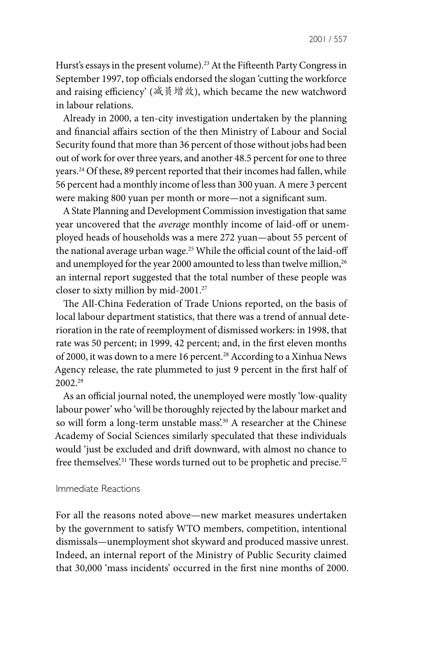Hurst's essays in the present volume).<sup>23</sup> At the Fifteenth Party Congress in September 1997, top officials endorsed the slogan 'cutting the workforce and raising efficiency' (减员增效), which became the new watchword in labour relations.

Already in 2000, a ten-city investigation undertaken by the planning and financial affairs section of the then Ministry of Labour and Social Security found that more than 36 percent of those without jobs had been out of work for over three years, and another 48.5 percent for one to three years.24 Of these, 89 percent reported that their incomes had fallen, while 56 percent had a monthly income of less than 300 yuan. A mere 3 percent were making 800 yuan per month or more—not a significant sum.

A State Planning and Development Commission investigation that same year uncovered that the *average* monthly income of laid-off or unemployed heads of households was a mere 272 yuan—about 55 percent of the national average urban wage.<sup>25</sup> While the official count of the laid-off and unemployed for the year 2000 amounted to less than twelve million,<sup>26</sup> an internal report suggested that the total number of these people was closer to sixty million by mid-2001.27

The All-China Federation of Trade Unions reported, on the basis of local labour department statistics, that there was a trend of annual deterioration in the rate of reemployment of dismissed workers: in 1998, that rate was 50 percent; in 1999, 42 percent; and, in the first eleven months of 2000, it was down to a mere 16 percent.<sup>28</sup> According to a Xinhua News Agency release, the rate plummeted to just 9 percent in the first half of 2002.29

As an official journal noted, the unemployed were mostly 'low-quality labour power' who 'will be thoroughly rejected by the labour market and so will form a long-term unstable mass'.<sup>30</sup> A researcher at the Chinese Academy of Social Sciences similarly speculated that these individuals would 'just be excluded and drift downward, with almost no chance to free themselves'.<sup>31</sup> These words turned out to be prophetic and precise.<sup>32</sup>

#### Immediate Reactions

For all the reasons noted above—new market measures undertaken by the government to satisfy WTO members, competition, intentional dismissals—unemployment shot skyward and produced massive unrest. Indeed, an internal report of the Ministry of Public Security claimed that 30,000 'mass incidents' occurred in the first nine months of 2000.